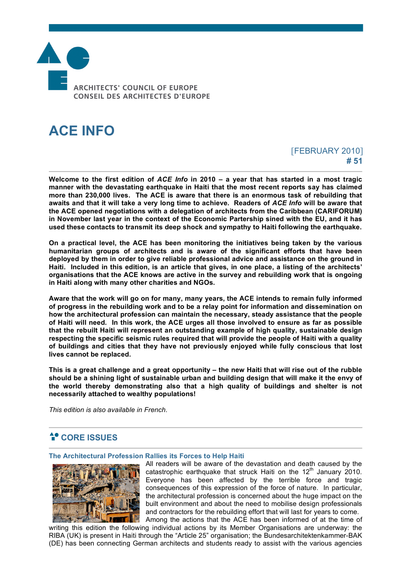

# **ACE INFO**

# [FEBRUARY 2010] **# 51**

**Welcome to the first edition of** *ACE Info* **in 2010 – a year that has started in a most tragic manner with the devastating earthquake in Haiti that the most recent reports say has claimed more than 230,000 lives. The ACE is aware that there is an enormous task of rebuilding that awaits and that it will take a very long time to achieve. Readers of** *ACE Info* **will be aware that the ACE opened negotiations with a delegation of architects from the Caribbean (CARIFORUM) in November last year in the context of the Economic Partership sined with the EU, and it has used these contacts to transmit its deep shock and sympathy to Haiti following the earthquake.**

**On a practical level, the ACE has been monitoring the initiatives being taken by the various humanitarian groups of architects and is aware of the significant efforts that have been deployed by them in order to give reliable professional advice and assistance on the ground in Haiti. Included in this edition, is an article that gives, in one place, a listing of the architects' organisations that the ACE knows are active in the survey and rebuilding work that is ongoing in Haiti along with many other charities and NGOs.**

**Aware that the work will go on for many, many years, the ACE intends to remain fully informed of progress in the rebuilding work and to be a relay point for information and dissemination on how the architectural profession can maintain the necessary, steady assistance that the people of Haiti will need. In this work, the ACE urges all those involved to ensure as far as possible that the rebuilt Haiti will represent an outstanding example of high quality, sustainable design respecting the specific seismic rules required that will provide the people of Haiti with a quality of buildings and cities that they have not previously enjoyed while fully conscious that lost lives cannot be replaced.**

**This is a great challenge and a great opportunity – the new Haiti that will rise out of the rubble should be a shining light of sustainable urban and building design that will make it the envy of the world thereby demonstrating also that a high quality of buildings and shelter is not necessarily attached to wealthy populations!**

*This edition is also available in French.*

# **CORE ISSUES**

#### **The Architectural Profession Rallies its Forces to Help Haiti**



All readers will be aware of the devastation and death caused by the catastrophic earthquake that struck Haiti on the  $12<sup>th</sup>$  January 2010. Everyone has been affected by the terrible force and tragic consequences of this expression of the force of nature. In particular, the architectural profession is concerned about the huge impact on the built environment and about the need to mobilise design professionals and contractors for the rebuilding effort that will last for years to come. Among the actions that the ACE has been informed of at the time of

writing this edition the following individual actions by its Member Organisations are underway: the RIBA (UK) is present in Haiti through the "Article 25" organisation; the Bundesarchitektenkammer-BAK (DE) has been connecting German architects and students ready to assist with the various agencies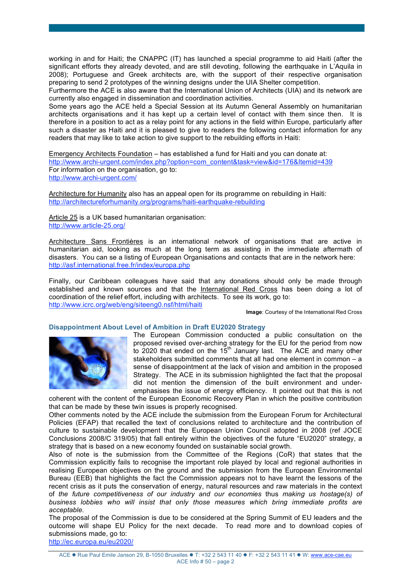working in and for Haiti; the CNAPPC (IT) has launched a special programme to aid Haiti (after the significant efforts they already devoted, and are still devoting, following the earthquake in L'Aquila in 2008); Portuguese and Greek architects are, with the support of their respective organisation preparing to send 2 prototypes of the winning designs under the UIA Shelter competition.

Furthermore the ACE is also aware that the International Union of Architects (UIA) and its network are currently also engaged in dissemination and coordination activities.

Some years ago the ACE held a Special Session at its Autumn General Assembly on humanitarian architects organisations and it has kept up a certain level of contact with them since then. It is therefore in a position to act as a relay point for any actions in the field within Europe, particularly after such a disaster as Haiti and it is pleased to give to readers the following contact information for any readers that may like to take action to give support to the rebuilding efforts in Haiti:

Emergency Architects Foundation – has established a fund for Haiti and you can donate at: http://www.archi-urgent.com/index.php?option=com\_content&task=view&id=176&Itemid=439 For information on the organisation, go to: http://www.archi-urgent.com/

Architecture for Humanity also has an appeal open for its programme on rebuilding in Haiti: http://architectureforhumanity.org/programs/haiti-earthquake-rebuilding

Article 25 is a UK based humanitarian organisation: http://www.article-25.org/

Architecture Sans Frontières is an international network of organisations that are active in humanitarian aid, looking as much at the long term as assisting in the immediate aftermath of disasters. You can se a listing of European Organisations and contacts that are in the network here: http://asf.international.free.fr/index/europa.php

Finally, our Caribbean colleagues have said that any donations should only be made through established and known sources and that the International Red Cross has been doing a lot of coordination of the relief effort, including with architects. To see its work, go to: http://www.icrc.org/web/eng/siteeng0.nsf/html/haiti

**Image**: Courtesy of the International Red Cross

### **Disappointment About Level of Ambition in Draft EU2020 Strategy**



The European Commission conducted a public consultation on the proposed revised over-arching strategy for the EU for the period from now to 2020 that ended on the  $15<sup>th</sup>$  January last. The ACE and many other stakeholders submitted comments that all had one element in common – a sense of disappointment at the lack of vision and ambition in the proposed Strategy. The ACE in its submission highlighted the fact that the proposal did not mention the dimension of the built environment and underemphasises the issue of energy efficiency. It pointed out that this is not

coherent with the content of the European Economic Recovery Plan in which the positive contribution that can be made by these twin issues is properly recognised.

Other comments noted by the ACE include the submission from the European Forum for Architectural Policies (EFAP) that recalled the text of conclusions related to architecture and the contribution of culture to sustainable development that the European Union Council adopted in 2008 (ref JOCE Conclusions 2008/C 319/05) that fall entirely within the objectives of the future "EU2020" strategy, a strategy that is based on a new economy founded on sustainable social growth.

Also of note is the submission from the Committee of the Regions (CoR) that states that the Commission explicitly fails to recognise the important role played by local and regional authorities in realising European objectives on the ground and the submission from the European Environmental Bureau (EEB) that highlights the fact the Commission appears not to have learnt the lessons of the recent crisis as it puts the conservation of energy, natural resources and raw materials in the context of *the future competitiveness of our industry and our economies* thus *making us hostage(s) of business lobbies who will insist that only those measures which bring immediate profits are acceptable.*

The proposal of the Commission is due to be considered at the Spring Summit of EU leaders and the outcome will shape EU Policy for the next decade. To read more and to download copies of submissions made, go to:

http://ec.europa.eu/eu2020/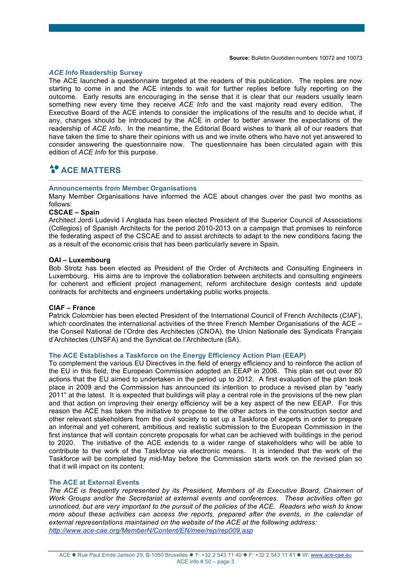#### *ACE Info* **Readership Survey**

The ACE launched a questionnaire targeted at the readers of this publication. The replies are now starting to come in and the ACE intends to wait for further replies before fully reporting on the outcome. Early results are encouraging in the sense that it is clear that our readers usually learn something new every time they receive *ACE Info* and the vast majority read every edition. The Executive Board of the ACE intends to consider the implications of the results and to decide what, if any, changes should be introduced by the ACE in order to better answer the expectations of the readership of *ACE Info*. In the meantime, the Editorial Board wishes to thank all of our readers that have taken the time to share their opinions with us and we invite others who have not yet answered to consider answering the questionnaire now. The questionnaire has been circulated again with this edition of *ACE Info* for this purpose.

# $A<sup>•</sup>$  ACE MATTERS

### **Announcements from Member Organisations**

Many Member Organisations have informed the ACE about changes over the past two months as follows:

# **CSCAE – Spain**

Architect Jordi Ludevid I Anglada has been elected President of the Superior Council of Associations (Collegios) of Spanish Architects for the period 2010-2013 on a campaign that promises to reinforce the federating aspect of the CSCAE and to assist architects to adapt to the new conditions facing the as a result of the economic crisis that has been particularly severe in Spain.

#### **OAI – Luxembourg**

Bob Strotz has been elected as President of the Order of Architects and Consulting Engineers in Luxembourg. His aims are to improve the collaboration between architects and consulting engineers for coherent and efficient project management, reform architecture design contests and update contracts for architects and engineers undertaking public works projects.

#### **CIAF – France**

Patrick Colombier has been elected President of the International Council of French Architects (CIAF), which coordinates the international activities of the three French Member Organisations of the ACE – the Conseil National de l'Ordre des Architectes (CNOA), the Union Nationale des Syndicats Français d'Architectes (UNSFA) and the Syndicat de l'Architecture (SA).

### **The ACE Establishes a Taskforce on the Energy Efficiency Action Plan (EEAP)**

To complement the various EU Directives in the field of energy efficiency and to reinforce the action of the EU in this field, the European Commission adopted an EEAP in 2006. This plan set out over 80 actions that the EU aimed to undertaken in the period up to 2012. A first evaluation of the plan took place in 2009 and the Commission has announced its intention to produce a revised plan by "early 2011" at the latest. It is expected that buildings will play a central role in the provisions of the new plan and that action on improving their energy efficiency will be a key aspect of the new EEAP. For this reason the ACE has taken the initiative to propose to the other actors in the construction sector and other relevant stakeholders from the civil society to set up a Taskforce of experts in order to prepare an informal and yet coherent, ambitious and realistic submission to the European Commission in the first instance that will contain concrete proposals for what can be achieved with buildings in the period to 2020. The initiative of the ACE extends to a wider range of stakeholders who will be able to contribute to the work of the Taskforce via electronic means. It is intended that the work of the Taskforce will be completed by mid-May before the Commission starts work on the revised plan so that it will impact on its content.

#### **The ACE at External Events**

*The ACE is frequently represented by its President, Members of its Executive Board, Chairmen of Work Groups and/or the Secretariat at external events and conferences. These activities often go unnoticed, but are very important to the pursuit of the policies of the ACE. Readers who wish to know more about these activities can access the reports, prepared after the events, in the calendar of external representations maintained on the website of the ACE at the following address: http://www.ace-cae.org/MemberN/Content/EN/mee/rep/rep009.asp*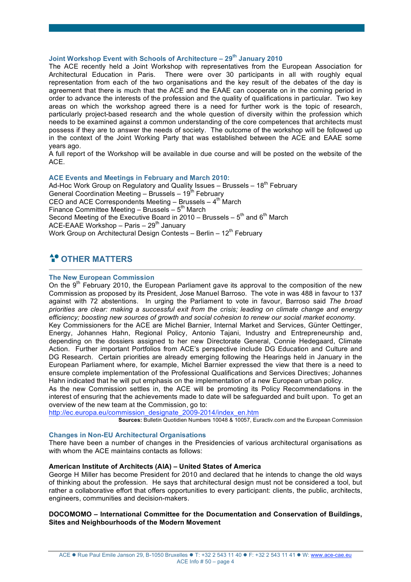# **Joint Workshop Event with Schools of Architecture – 29th January 2010**

The ACE recently held a Joint Workshop with representatives from the European Association for Architectural Education in Paris. There were over 30 participants in all with roughly equal representation from each of the two organisations and the key result of the debates of the day is agreement that there is much that the ACE and the EAAE can cooperate on in the coming period in order to advance the interests of the profession and the quality of qualifications in particular. Two key areas on which the workshop agreed there is a need for further work is the topic of research, particularly project-based research and the whole question of diversity within the profession which needs to be examined against a common understanding of the core competences that architects must possess if they are to answer the needs of society. The outcome of the workshop will be followed up in the context of the Joint Working Party that was established between the ACE and EAAE some years ago.

A full report of the Workshop will be available in due course and will be posted on the website of the ACE.

### **ACE Events and Meetings in February and March 2010:**

Ad-Hoc Work Group on Regulatory and Quality Issues - Brussels -  $18<sup>th</sup>$  February General Coordination Meeting – Brussels –  $19^{th}$  February CEO and ACE Correspondents Meeting – Brussels –  $4<sup>th</sup>$  March Finance Committee Meeting – Brussels –  $5<sup>th</sup>$  March Second Meeting of the Executive Board in 2010 – Brussels –  $5<sup>th</sup>$  and  $6<sup>th</sup>$  March ACE-EAAE Workshop - Paris - 29<sup>th</sup> January Work Group on Architectural Design Contests – Berlin –  $12<sup>th</sup>$  February

# *<u>A</u>* OTHER MATTERS

#### **The New European Commission**

On the  $9<sup>th</sup>$  February 2010, the European Parliament gave its approval to the composition of the new Commission as proposed by its President, Jose Manuel Barroso. The vote in was 488 in favour to 137 against with 72 abstentions. In urging the Parliament to vote in favour, Barroso said *The broad priorities are clear: making a successful exit from the crisis; leading on climate change and energy efficiency; boosting new sources of growth and social cohesion to renew our social market economy.*

Key Commissioners for the ACE are Michel Barnier, Internal Market and Services, Günter Oettinger, Energy, Johannes Hahn, Regional Policy, Antonio Tajani, Industry and Entrepreneurship and, depending on the dossiers assigned to her new Directorate General, Connie Hedegaard, Climate Action. Further important Portfolios from ACE's perspective include DG Education and Culture and DG Research. Certain priorities are already emerging following the Hearings held in January in the European Parliament where, for example, Michel Barnier expressed the view that there is a need to ensure complete implementation of the Professional Qualifications and Services Directives; Johannes Hahn indicated that he will put emphasis on the implementation of a new European urban policy.

As the new Commission settles in, the ACE will be promoting its Policy Recommendations in the interest of ensuring that the achievements made to date will be safeguarded and built upon. To get an overview of the new team at the Commission, go to:

http://ec.europa.eu/commission\_designate\_2009-2014/index\_en.htm

**Sources:** Bulletin Quotidien Numbers 10048 & 10057, Euractiv.com and the European Commission

### **Changes in Non-EU Architectural Organisations**

There have been a number of changes in the Presidencies of various architectural organisations as with whom the ACE maintains contacts as follows:

# **American Institute of Architects (AIA) – United States of America**

George H Miller has become President for 2010 and declared that he intends to change the old ways of thinking about the profession. He says that architectural design must not be considered a tool, but rather a collaborative effort that offers opportunities to every participant: clients, the public, architects, engineers, communities and decision-makers.

# **DOCOMOMO – International Committee for the Documentation and Conservation of Buildings, Sites and Neighbourhoods of the Modern Movement**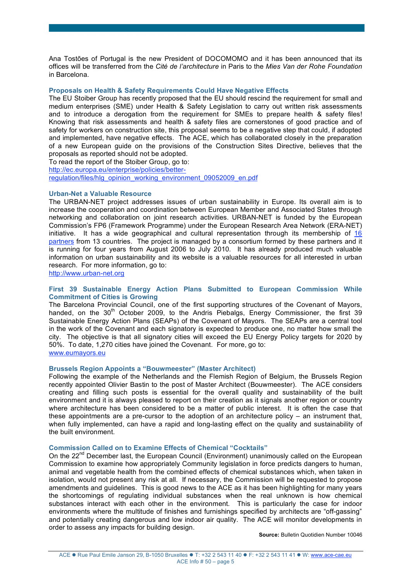Ana Tostões of Portugal is the new President of DOCOMOMO and it has been announced that its offices will be transferred from the *Cité de l'architecture* in Paris to the *Mies Van der Rohe Foundation* in Barcelona.

### **Proposals on Health & Safety Requirements Could Have Negative Effects**

The EU Stoiber Group has recently proposed that the EU should rescind the requirement for small and medium enterprises (SME) under Health & Safety Legislation to carry out written risk assessments and to introduce a derogation from the requirement for SMEs to prepare health & safety files! Knowing that risk assessments and health & safety files are cornerstones of good practice and of safety for workers on construction site, this proposal seems to be a negative step that could, if adopted and implemented, have negative effects. The ACE, which has collaborated closely in the preparation of a new European guide on the provisions of the Construction Sites Directive, believes that the proposals as reported should not be adopted.

To read the report of the Stoiber Group, go to:

http://ec.europa.eu/enterprise/policies/better-

regulation/files/hlg\_opinion\_working\_environment\_09052009\_en.pdf

#### **Urban-Net a Valuable Resource**

The URBAN-NET project addresses issues of urban sustainability in Europe. Its overall aim is to increase the cooperation and coordination between European Member and Associated States through networking and collaboration on joint research activities. URBAN-NET is funded by the European Commission's FP6 (Framework Programme) under the European Research Area Network (ERA-NET) initiative. It has a wide geographical and cultural representation through its membership of 16 partners from 13 countries. The project is managed by a consortium formed by these partners and it is running for four years from August 2006 to July 2010. It has already produced much valuable information on urban sustainability and its website is a valuable resources for all interested in urban research. For more information, go to:

http://www.urban-net.org

#### **First 39 Sustainable Energy Action Plans Submitted to European Commission While Commitment of Cities is Growing**

The Barcelona Provincial Council, one of the first supporting structures of the Covenant of Mayors, handed, on the  $30<sup>th</sup>$  October 2009, to the Andris Piebalgs, Energy Commissioner, the first 39 Sustainable Energy Action Plans (SEAPs) of the Covenant of Mayors. The SEAPs are a central tool in the work of the Covenant and each signatory is expected to produce one, no matter how small the city. The objective is that all signatory cities will exceed the EU Energy Policy targets for 2020 by 50%. To date, 1,270 cities have joined the Covenant. For more, go to: www.eumayors.eu

#### **Brussels Region Appoints a "Bouwmeester" (Master Architect)**

Following the example of the Netherlands and the Flemish Region of Belgium, the Brussels Region recently appointed Olivier Bastin to the post of Master Architect (Bouwmeester). The ACE considers creating and filling such posts is essential for the overall quality and sustainability of the built environment and it is always pleased to report on their creation as it signals another region or country where architecture has been considered to be a matter of public interest. It is often the case that these appointments are a pre-cursor to the adoption of an architecture policy – an instrument that, when fully implemented, can have a rapid and long-lasting effect on the quality and sustainability of the built environment.

#### **Commission Called on to Examine Effects of Chemical "Cocktails"**

On the 22<sup>nd</sup> December last, the European Council (Environment) unanimously called on the European Commission to examine how appropriately Community legislation in force predicts dangers to human, animal and vegetable health from the combined effects of chemical substances which, when taken in isolation, would not present any risk at all. If necessary, the Commission will be requested to propose amendments and guidelines. This is good news to the ACE as it has been highlighting for many years the shortcomings of regulating individual substances when the real unknown is how chemical substances interact with each other in the environment. This is particularly the case for indoor environments where the multitude of finishes and furnishings specified by architects are "off-gassing" and potentially creating dangerous and low indoor air quality. The ACE will monitor developments in order to assess any impacts for building design.

**Source:** Bulletin Quotidien Number 10046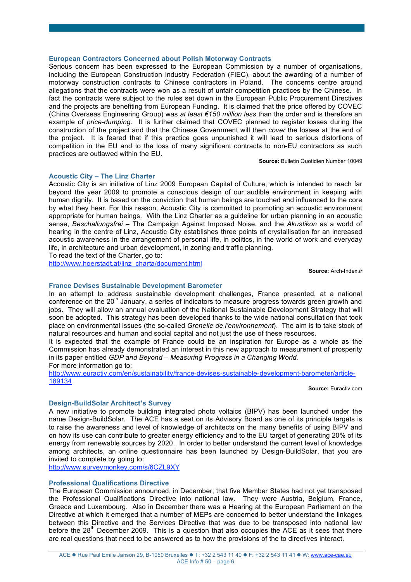#### **European Contractors Concerned about Polish Motorway Contracts**

Serious concern has been expressed to the European Commission by a number of organisations, including the European Construction Industry Federation (FIEC), about the awarding of a number of motorway construction contracts to Chinese contractors in Poland. The concerns centre around allegations that the contracts were won as a result of unfair competition practices by the Chinese. In fact the contracts were subject to the rules set down in the European Public Procurement Directives and the projects are benefiting from European Funding. It is claimed that the price offered by COVEC (China Overseas Engineering Group) was *at least €150 million less* than the order and is therefore an example of *price-dumping*. It is further claimed that COVEC planned to register losses during the construction of the project and that the Chinese Government will then *cover* the losses at the end of the project. It is feared that if this practice goes unpunished it will lead to serious distortions of competition in the EU and to the loss of many significant contracts to non-EU contractors as such practices are outlawed within the EU.

**Source:** Bulletin Quotidien Number 10049

#### **Acoustic City – The Linz Charter**

Acoustic City is an initiative of Linz 2009 European Capital of Culture, which is intended to reach far beyond the year 2009 to promote a conscious design of our audible environment in keeping with human dignity. It is based on the conviction that human beings are touched and influenced to the core by what they hear. For this reason, Acoustic City is committed to promoting an acoustic environment appropriate for human beings. With the Linz Charter as a guideline for urban planning in an acoustic sense, *Beschallungsfrei* – The Campaign Against Imposed Noise, and the *Akustikon* as a world of hearing in the centre of Linz, Acoustic City establishes three points of crystallisation for an increased acoustic awareness in the arrangement of personal life, in politics, in the world of work and everyday life, in architecture and urban development, in zoning and traffic planning.

To read the text of the Charter, go to:

http://www.hoerstadt.at/linz\_charta/document.html

**Source:** Arch-Index.*fr*

# **France Devises Sustainable Development Barometer**

In an attempt to address sustainable development challenges, France presented, at a national conference on the 20<sup>th</sup> January, a series of indicators to measure progress towards green growth and jobs. They will allow an annual evaluation of the National Sustainable Development Strategy that will soon be adopted. This strategy has been developed thanks to the wide national consultation that took place on environmental issues (the so-called *Grenelle de l'environnement*). The aim is to take stock of natural resources and human and social capital and not just the use of these resources.

It is expected that the example of France could be an inspiration for Europe as a whole as the Commission has already demonstrated an interest in this new approach to measurement of prosperity in its paper entitled *GDP and Beyond – Measuring Progress in a Changing World.* For more information go to:

http://www.euractiv.com/en/sustainability/france-devises-sustainable-development-barometer/article-189134

**Source:** Euractiv.com

#### **Design-BuildSolar Architect's Survey**

A new initiative to promote building integrated photo voltaics (BIPV) has been launched under the name Design-BuildSolar. The ACE has a seat on its Advisory Board as one of its principle targets is to raise the awareness and level of knowledge of architects on the many benefits of using BIPV and on how its use can contribute to greater energy efficiency and to the EU target of generating 20% of its energy from renewable sources by 2020. In order to better understand the current level of knowledge among architects, an online questionnaire has been launched by Design-BuildSolar, that you are invited to complete by going to:

http://www.surveymonkey.com/s/6CZL9XY

#### **Professional Qualifications Directive**

The European Commission announced, in December, that five Member States had not yet transposed the Professional Qualifications Directive into national law. They were Austria, Belgium, France, Greece and Luxembourg. Also in December there was a Hearing at the European Parliament on the Directive at which it emerged that a number of MEPs are concerned to better understand the linkages between this Directive and the Services Directive that was due to be transposed into national law before the  $28<sup>th</sup>$  December 2009. This is a question that also occupies the ACE as it sees that there are real questions that need to be answered as to how the provisions of the to directives interact.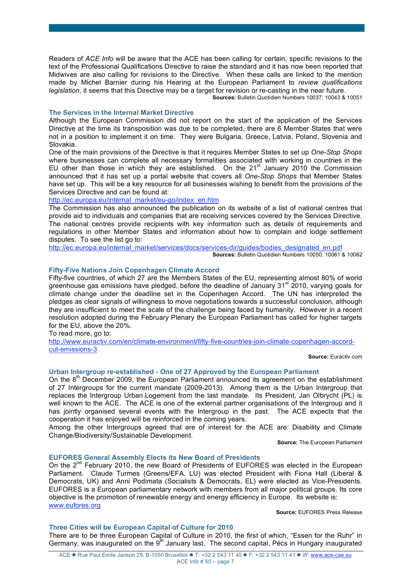Readers of *ACE Info* will be aware that the ACE has been calling for certain, specific revisions to the text of the Professional Qualifications Directive to raise the standard and it has now been reported that Midwives are also calling for revisions to the Directive. When these calls are linked to the mention made by Michel Barnier during his Hearing at the European Parliament to *review qualifications legislation*, it seems that this Directive may be a target for revision or re-casting in the near future.

**Sources:** Bulletin Quotidien Numbers 10037, 10043 & 10051

#### **The Services in the Internal Market Directive**

Although the European Commission did not report on the start of the application of the Services Directive at the time its transposition was due to be completed, there are 6 Member States that were not in a position to implement it on time. They were Bulgaria, Greece, Latvia, Poland, Slovenia and Slovakia.

One of the main provisions of the Directive is that it requires Member States to set up *One-Stop Shops* where businesses can complete all necessary formalities associated with working in countries in the EU other than those in which they are established. On the  $21<sup>st</sup>$  January 2010 the Commission announced that it has set up a portal website that covers all *One-Stop Shops* that Member States have set up. This will be a key resource for all businesses wishing to benefit from the provisions of the Services Directive and can be found at:

http://ec.europa.eu/internal\_market/eu-go/index\_en.htm

The Commission has also announced the publication on its website of a list of national centres that provide aid to individuals and companies that are receiving services covered by the Services Directive. The national centres provide recipients with key information such as details of requirements and regulations in other Member States and information about how to complain and lodge settlement disputes. To see the list go to:

http://ec.europa.eu/internal\_market/services/docs/services-dir/guides/bodies\_designated\_en.pdf

**Sources:** Bulletin Quotidien Numbers 10050, 10061 & 10062

# **Fifty-Five Nations Join Copenhagen Climate Accord**

Fifty-five countries, of which 27 are the Members States of the EU, representing almost 80% of world greenhouse gas emissions have pledged, before the deadline of January 31<sup>st</sup> 2010, varying goals for climate change under the deadline set in the Copenhagen Accord. The UN has interpreted the pledges as clear signals of willingness to move negotiations towards a successful conclusion, although they are insufficient to meet the scale of the challenge being faced by humanity. However in a recent resolution adopted during the February Plenary the European Parliament has called for higher targets for the EU, above the 20%.

To read more, go to:

http://www.euractiv.com/en/climate-environment/fifty-five-countries-join-climate-copenhagen-accordcut-emissions-3

**Source:** Euractiv.com

#### **Urban Intergroup re-established - One of 27 Approved by the European Parliament**

On the 8<sup>th</sup> December 2009, the European Parliament announced its agreement on the establishment of 27 Intergroups for the current mandate (2009-2013). Among them is the Urban Intergroup that replaces the Intergroup Urban.Logement from the last mandate. Its President, Jan Olbrycht (PL) is well known to the ACE. The ACE is one of the external partner organisations of the Intergroup and it has jointly organised several events with the Intergroup in the past. The ACE expects that the cooperation it has enjoyed will be reinforced in the coming years.

Among the other Intergroups agreed that are of interest for the ACE are: Disability and Climate Change/Biodiversity/Sustainable Development.

**Source:** The European Parliament

#### **EUFORES General Assembly Elects its New Board of Presidents**

On the 2<sup>nd</sup> February 2010, the new Board of Presidents of EUFORES was elected in the European Parliament. Claude Turmes (Greens/EFA, LU) was elected President with Fiona Hall (Liberal & Democrats, UK) and Anni Podimata (Socialists & Democrats, EL) were elected as Vice-Presidents. EUFORES is a European parliamentary network with members from all major political groups. Its core objective is the promotion of renewable energy and energy efficiency in Europe. Its website is: www.eufores.org

**Source:** EUFORES Press Release

#### **Three Cities will be European Capital of Culture for 2010**

There are to be three European Capital of Culture in 2010, the first of which, "Essen for the Ruhr" in Germany, was inaugurated on the 9<sup>th</sup> January last. The second capital, Pécs in Hungary inaugurated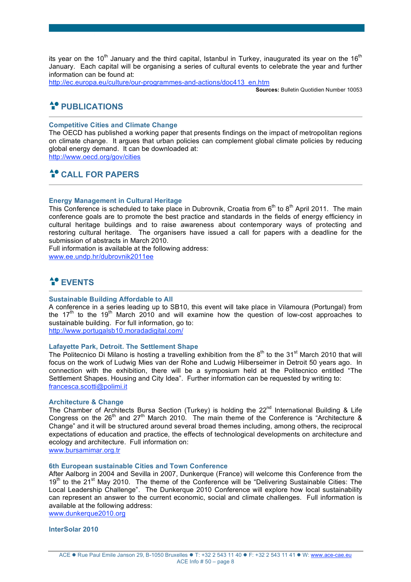its year on the 10<sup>th</sup> January and the third capital, Istanbul in Turkey, inaugurated its year on the 16<sup>th</sup> January. Each capital will be organising a series of cultural events to celebrate the year and further information can be found at:

http://ec.europa.eu/culture/our-programmes-and-actions/doc413\_en.htm

**Sources:** Bulletin Quotidien Number 10053

# **PUBLICATIONS**

# **Competitive Cities and Climate Change**

The OECD has published a working paper that presents findings on the impact of metropolitan regions on climate change. It argues that urban policies can complement global climate policies by reducing global energy demand. It can be downloaded at: http://www.oecd.org/gov/cities

# **CALL FOR PAPERS**

### **Energy Management in Cultural Heritage**

This Conference is scheduled to take place in Dubrovnik, Croatia from  $6<sup>th</sup>$  to  $8<sup>th</sup>$  April 2011. The main conference goals are to promote the best practice and standards in the fields of energy efficiency in cultural heritage buildings and to raise awareness about contemporary ways of protecting and restoring cultural heritage. The organisers have issued a call for papers with a deadline for the submission of abstracts in March 2010.

Full information is available at the following address:

www.ee.undp.hr/dubrovnik2011ee

# **A**<sup>C</sup> EVENTS

# **Sustainable Building Affordable to All**

A conference in a series leading up to SB10, this event will take place in Vilamoura (Portungal) from the  $17<sup>th</sup>$  to the  $19<sup>th</sup>$  March 2010 and will examine how the question of low-cost approaches to sustainable building. For full information, go to:

http://www.portugalsb10.moradadigital.com/

# **Lafayette Park, Detroit. The Settlement Shape**

The Politecnico Di Milano is hosting a travelling exhibition from the  $8<sup>th</sup>$  to the 31<sup>st</sup> March 2010 that will focus on the work of Ludwig Mies van der Rohe and Ludwig Hilberseimer in Detroit 50 years ago. In connection with the exhibition, there will be a symposium held at the Politecnico entitled "The Settlement Shapes. Housing and City Idea". Further information can be requested by writing to: francesca.scotti@polimi.it

### **Architecture & Change**

The Chamber of Architects Bursa Section (Turkey) is holding the 22<sup>nd</sup> International Building & Life Congress on the 26<sup>th</sup> and 27<sup>th</sup> March 2010. The main theme of the Conference is "Architecture & Change" and it will be structured around several broad themes including, among others, the reciprocal expectations of education and practice, the effects of technological developments on architecture and ecology and architecture. Full information on:

www.bursamimar.org.tr

# **6th European sustainable Cities and Town Conference**

After Aalborg in 2004 and Sevilla in 2007, Dunkerque (France) will welcome this Conference from the 19<sup>th</sup> to the 21<sup>st</sup> May 2010. The theme of the Conference will be "Delivering Sustainable Cities: The Local Leadership Challenge". The Dunkerque 2010 Conference will explore how local sustainability can represent an answer to the current economic, social and climate challenges. Full information is available at the following address:

www.dunkerque2010.org

**InterSolar 2010**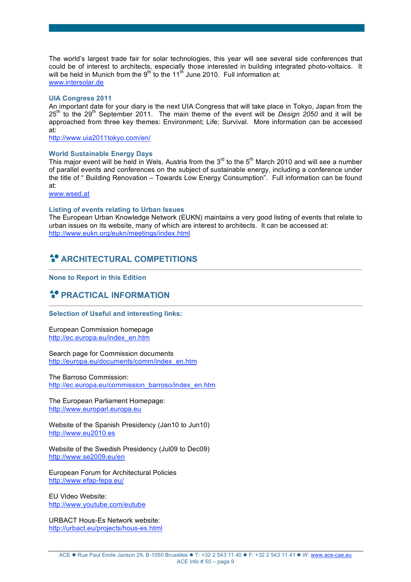The world's largest trade fair for solar technologies, this year will see several side conferences that could be of interest to architects, especially those interested in building integrated photo-voltaics. It will be held in Munich from the 9<sup>th</sup> to the 11<sup>th</sup> June 2010. Full information at: www.intersolar.de

#### **UIA Congress 2011**

An important date for your diary is the next UIA Congress that will take place in Tokyo, Japan from the 25th to the 29th September 2011. The main theme of the event will be *Design 2050* and it will be approached from three key themes: Environment; Life; Survival. More information can be accessed at:

http://www.uia2011tokyo.com/en/

#### **World Sustainable Energy Days**

This major event will be held in Wels, Austria from the 3<sup>rd</sup> to the 5<sup>th</sup> March 2010 and will see a number of parallel events and conferences on the subject of sustainable energy, including a conference under the title of " Building Renovation – Towards Low Energy Consumption". Full information can be found at:

www.wsed.at

# **Listing of events relating to Urban Issues**

The European Urban Knowledge Network (EUKN) maintains a very good listing of events that relate to urban issues on its website, many of which are interest to architects. It can be accessed at: http://www.eukn.org/eukn/meetings/index.html

# **ARCHITECTURAL COMPETITIONS**

**None to Report in this Edition**

# $\triangleq$  **PRACTICAL INFORMATION**

#### **Selection of Useful and interesting links:**

European Commission homepage http://ec.europa.eu/index\_en.htm

Search page for Commission documents http://europa.eu/documents/comm/index\_en.htm

The Barroso Commission: http://ec.europa.eu/commission\_barroso/index\_en.htm

The European Parliament Homepage: http://www.europarl.europa.eu

Website of the Spanish Presidency (Jan10 to Jun10) http://www.eu2010.es

Website of the Swedish Presidency (Jul09 to Dec09) http://www.se2009.eu/en

European Forum for Architectural Policies http://www.efap-fepa.eu/

EU Video Website: http://www.youtube.com/eutube

URBACT Hous-Es Network website: http://urbact.eu/projects/hous-es.html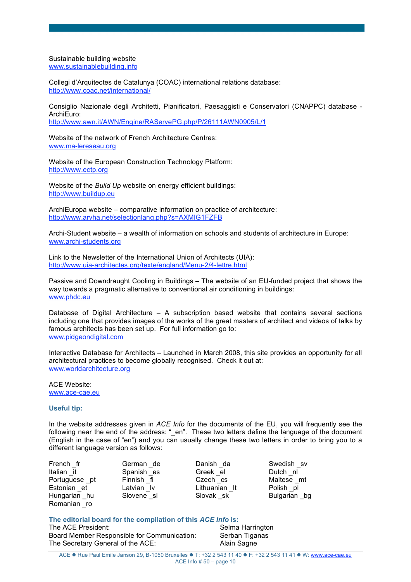Sustainable building website www.sustainablebuilding.info

Collegi d'Arquitectes de Catalunya (COAC) international relations database: http://www.coac.net/international/

Consiglio Nazionale degli Architetti, Pianificatori, Paesaggisti e Conservatori (CNAPPC) database - ArchiEuro: http://www.awn.it/AWN/Engine/RAServePG.php/P/26111AWN0905/L/1

Website of the network of French Architecture Centres: www.ma-lereseau.org

Website of the European Construction Technology Platform: http://www.ectp.org

Website of the *Build Up* website on energy efficient buildings: http://www.buildup.eu

ArchiEuropa website – comparative information on practice of architecture: http://www.arvha.net/selectionlang.php?s=AXMIG1FZFB

Archi-Student website – a wealth of information on schools and students of architecture in Europe: www.archi-students.org

Link to the Newsletter of the International Union of Architects (UIA): http://www.uia-architectes.org/texte/england/Menu-2/4-lettre.html

Passive and Downdraught Cooling in Buildings – The website of an EU-funded project that shows the way towards a pragmatic alternative to conventional air conditioning in buildings: www.phdc.eu

Database of Digital Architecture – A subscription based website that contains several sections including one that provides images of the works of the great masters of architect and videos of talks by famous architects has been set up. For full information go to: www.pidgeondigital.com

Interactive Database for Architects – Launched in March 2008, this site provides an opportunity for all architectural practices to become globally recognised. Check it out at: www.worldarchitecture.org

ACE Website: www.ace-cae.eu

#### **Useful tip:**

In the website addresses given in *ACE Info* for the documents of the EU, you will frequently see the following near the end of the address: " en". These two letters define the language of the document (English in the case of "en") and you can usually change these two letters in order to bring you to a different language version as follows:

French fr German de Danish da Swedish sv Italian it Spanish es Greek el Dutch ni<br>
Portuguese pt Finnish fi Czech cs Maltese mt Portuguese pt Finnish  $\overline{f}$  Finnish  $\overline{f}$  Czech  $\overline{c}$  cs Estonian et Latvian Iv Lithuanian It Polish pi Hungarian hu Slovene sl Slovak sk Bulgarian bg Romanian \_ro

# **The editorial board for the compilation of this** *ACE Info* **is:**

The ACE President: Selma Harrington Board Member Responsible for Communication: Serban Tiganas The Secretary General of the ACE: Alain Sagne